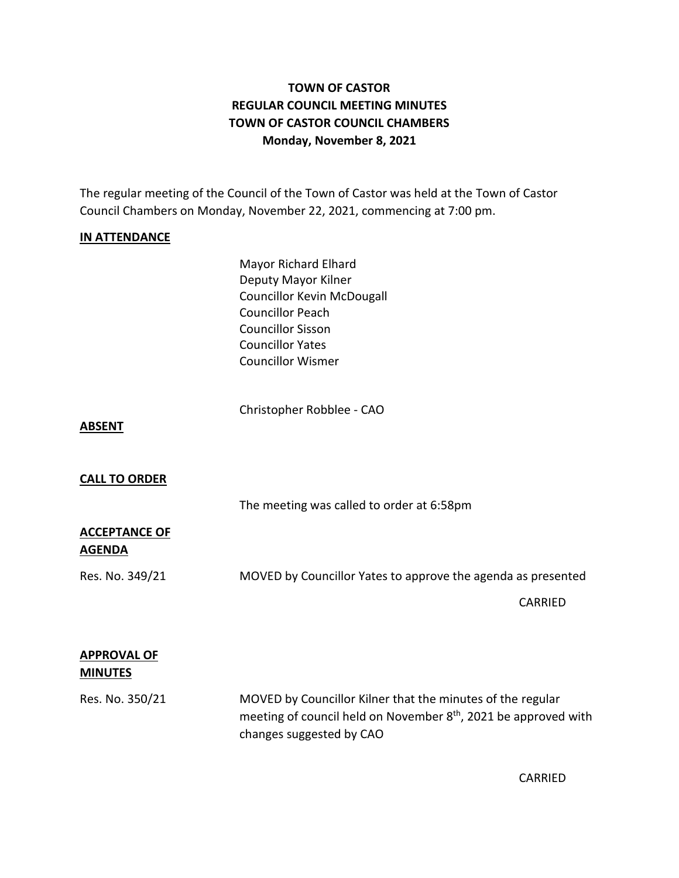# **TOWN OF CASTOR REGULAR COUNCIL MEETING MINUTES TOWN OF CASTOR COUNCIL CHAMBERS Monday, November 8, 2021**

The regular meeting of the Council of the Town of Castor was held at the Town of Castor Council Chambers on Monday, November 22, 2021, commencing at 7:00 pm.

### **IN ATTENDANCE**

Mayor Richard Elhard Deputy Mayor Kilner Councillor Kevin McDougall Councillor Peach Councillor Sisson Councillor Yates Councillor Wismer

Christopher Robblee - CAO

#### **ABSENT**

#### **CALL TO ORDER**

The meeting was called to order at 6:58pm

### **ACCEPTANCE OF AGENDA**

Res. No. 349/21 MOVED by Councillor Yates to approve the agenda as presented

CARRIED

### **APPROVAL OF MINUTES**

Res. No. 350/21 MOVED by Councillor Kilner that the minutes of the regular meeting of council held on November 8<sup>th</sup>, 2021 be approved with changes suggested by CAO

CARRIED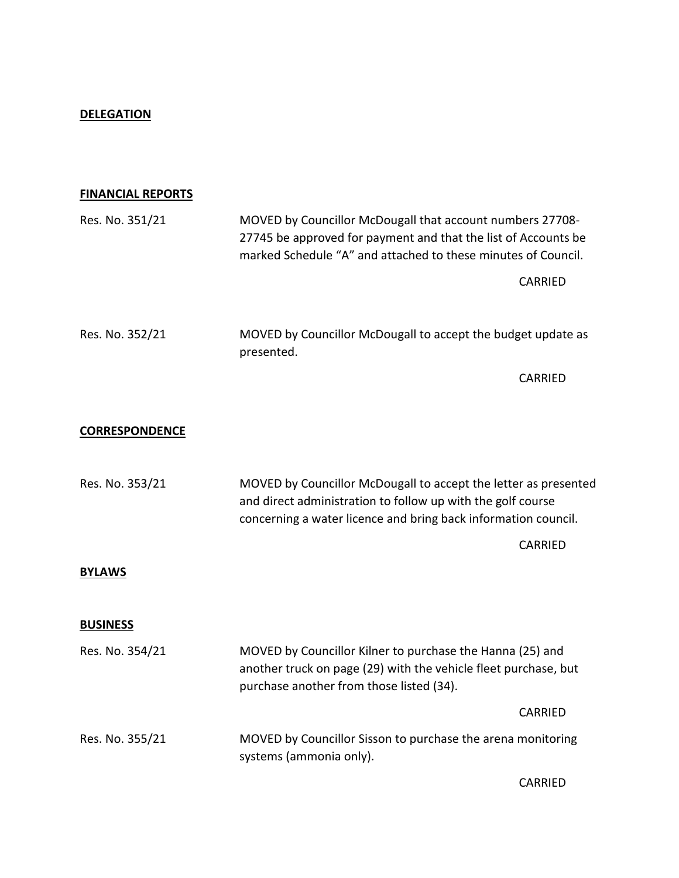## **DELEGATION**

## **FINANCIAL REPORTS**

| Res. No. 351/21       | MOVED by Councillor McDougall that account numbers 27708-<br>27745 be approved for payment and that the list of Accounts be<br>marked Schedule "A" and attached to these minutes of Council.     |                |
|-----------------------|--------------------------------------------------------------------------------------------------------------------------------------------------------------------------------------------------|----------------|
|                       |                                                                                                                                                                                                  | CARRIED        |
| Res. No. 352/21       | MOVED by Councillor McDougall to accept the budget update as<br>presented.                                                                                                                       |                |
|                       |                                                                                                                                                                                                  | CARRIED        |
| <b>CORRESPONDENCE</b> |                                                                                                                                                                                                  |                |
| Res. No. 353/21       | MOVED by Councillor McDougall to accept the letter as presented<br>and direct administration to follow up with the golf course<br>concerning a water licence and bring back information council. |                |
|                       |                                                                                                                                                                                                  | <b>CARRIED</b> |
| <b>BYLAWS</b>         |                                                                                                                                                                                                  |                |
| <b>BUSINESS</b>       |                                                                                                                                                                                                  |                |
| Res. No. 354/21       | MOVED by Councillor Kilner to purchase the Hanna (25) and<br>another truck on page (29) with the vehicle fleet purchase, but<br>purchase another from those listed (34).                         |                |
|                       |                                                                                                                                                                                                  | CARRIED        |
| Res. No. 355/21       | MOVED by Councillor Sisson to purchase the arena monitoring<br>systems (ammonia only).                                                                                                           |                |
|                       |                                                                                                                                                                                                  | CARRIED        |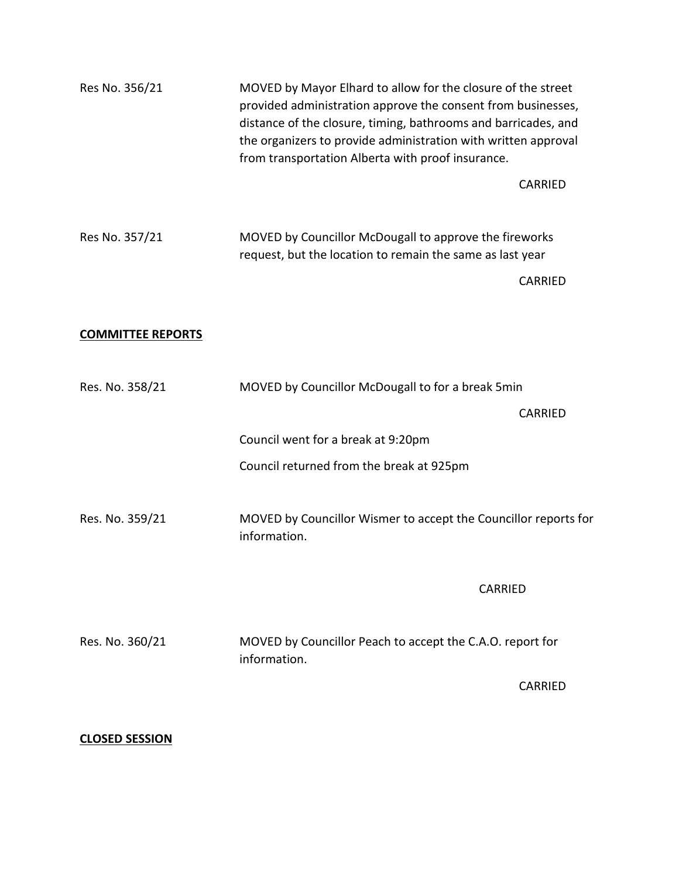| Res No. 356/21           | MOVED by Mayor Elhard to allow for the closure of the street<br>provided administration approve the consent from businesses,<br>distance of the closure, timing, bathrooms and barricades, and<br>the organizers to provide administration with written approval<br>from transportation Alberta with proof insurance. |  |
|--------------------------|-----------------------------------------------------------------------------------------------------------------------------------------------------------------------------------------------------------------------------------------------------------------------------------------------------------------------|--|
|                          | CARRIED                                                                                                                                                                                                                                                                                                               |  |
| Res No. 357/21           | MOVED by Councillor McDougall to approve the fireworks<br>request, but the location to remain the same as last year                                                                                                                                                                                                   |  |
|                          | <b>CARRIED</b>                                                                                                                                                                                                                                                                                                        |  |
| <b>COMMITTEE REPORTS</b> |                                                                                                                                                                                                                                                                                                                       |  |
| Res. No. 358/21          | MOVED by Councillor McDougall to for a break 5min                                                                                                                                                                                                                                                                     |  |
|                          | <b>CARRIED</b>                                                                                                                                                                                                                                                                                                        |  |
|                          | Council went for a break at 9:20pm                                                                                                                                                                                                                                                                                    |  |
|                          | Council returned from the break at 925pm                                                                                                                                                                                                                                                                              |  |
| Res. No. 359/21          | MOVED by Councillor Wismer to accept the Councillor reports for<br>information.                                                                                                                                                                                                                                       |  |
|                          | <b>CARRIED</b>                                                                                                                                                                                                                                                                                                        |  |
| Res. No. 360/21          | MOVED by Councillor Peach to accept the C.A.O. report for<br>information.                                                                                                                                                                                                                                             |  |
|                          | <b>CARRIED</b>                                                                                                                                                                                                                                                                                                        |  |
|                          |                                                                                                                                                                                                                                                                                                                       |  |

# **CLOSED SESSION**